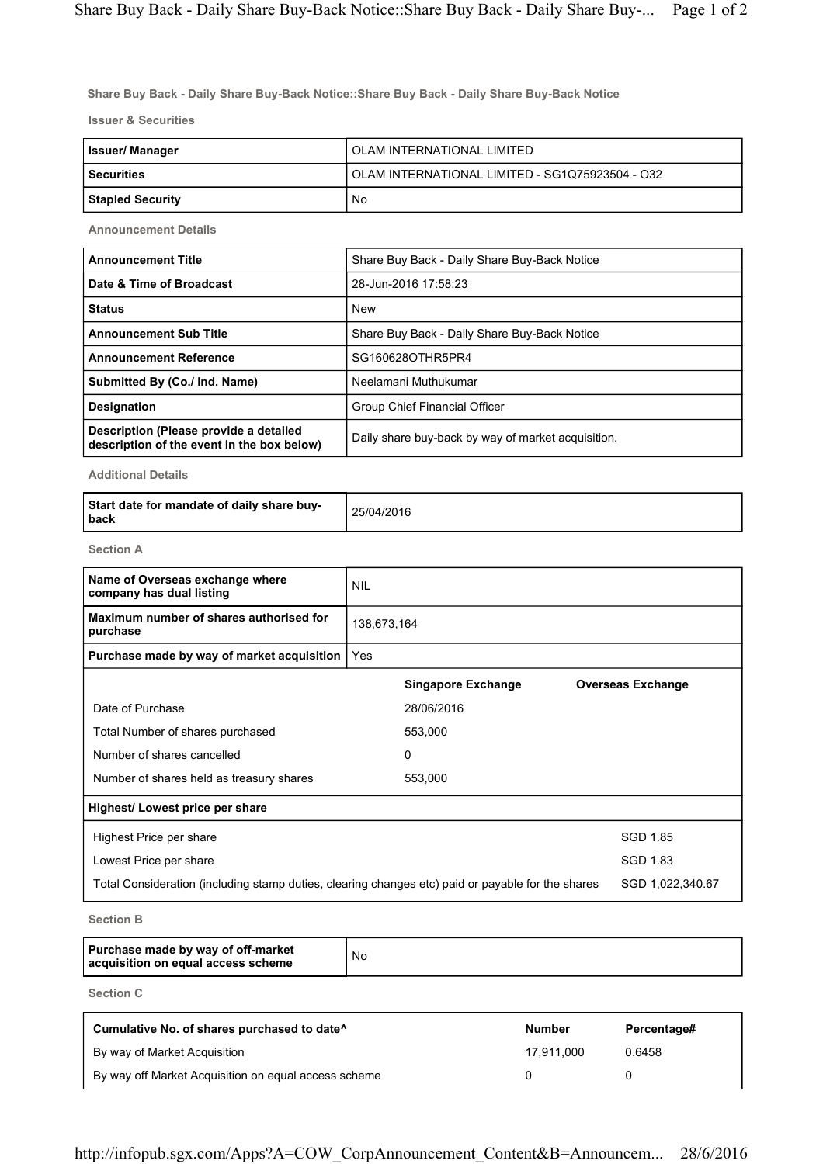Share Buy Back - Daily Share Buy-Back Notice::Share Buy Back - Daily Share Buy-Back Notice

Issuer & Securities

| Issuer/ Manager         | OLAM INTERNATIONAL LIMITED                      |
|-------------------------|-------------------------------------------------|
| <b>Securities</b>       | OLAM INTERNATIONAL LIMITED - SG1Q75923504 - O32 |
| <b>Stapled Security</b> | No                                              |

Announcement Details

| <b>Announcement Title</b>                                                            | Share Buy Back - Daily Share Buy-Back Notice       |  |
|--------------------------------------------------------------------------------------|----------------------------------------------------|--|
| Date & Time of Broadcast                                                             | 28-Jun-2016 17:58:23                               |  |
| <b>Status</b>                                                                        | <b>New</b>                                         |  |
| <b>Announcement Sub Title</b>                                                        | Share Buy Back - Daily Share Buy-Back Notice       |  |
| <b>Announcement Reference</b>                                                        | SG160628OTHR5PR4                                   |  |
| Submitted By (Co./ Ind. Name)                                                        | Neelamani Muthukumar                               |  |
| <b>Designation</b>                                                                   | Group Chief Financial Officer                      |  |
| Description (Please provide a detailed<br>description of the event in the box below) | Daily share buy-back by way of market acquisition. |  |

Additional Details

| Start date for mandate of daily share buy-<br>l back | 25/04/2016 |
|------------------------------------------------------|------------|
|------------------------------------------------------|------------|

Section A

| Name of Overseas exchange where<br>company has dual listing                                       | <b>NIL</b>  |                           |                          |
|---------------------------------------------------------------------------------------------------|-------------|---------------------------|--------------------------|
| Maximum number of shares authorised for<br>purchase                                               | 138,673,164 |                           |                          |
| Purchase made by way of market acquisition                                                        | Yes         |                           |                          |
|                                                                                                   |             | <b>Singapore Exchange</b> | <b>Overseas Exchange</b> |
| Date of Purchase                                                                                  |             | 28/06/2016                |                          |
| Total Number of shares purchased                                                                  |             | 553,000                   |                          |
| Number of shares cancelled                                                                        |             | 0                         |                          |
| Number of shares held as treasury shares                                                          |             | 553,000                   |                          |
| Highest/ Lowest price per share                                                                   |             |                           |                          |
| Highest Price per share                                                                           |             |                           | <b>SGD 1.85</b>          |
| Lowest Price per share                                                                            |             |                           | SGD 1.83                 |
| Total Consideration (including stamp duties, clearing changes etc) paid or payable for the shares |             |                           | SGD 1,022,340.67         |

Section B

| Purchase made by way of off-market<br>acquisition on equal access scheme | No |
|--------------------------------------------------------------------------|----|
|--------------------------------------------------------------------------|----|

Section C

| Cumulative No. of shares purchased to date <sup>^</sup> | <b>Number</b> | Percentage# |
|---------------------------------------------------------|---------------|-------------|
| By way of Market Acquisition                            | 17.911.000    | 0.6458      |
| By way off Market Acquisition on equal access scheme    |               |             |